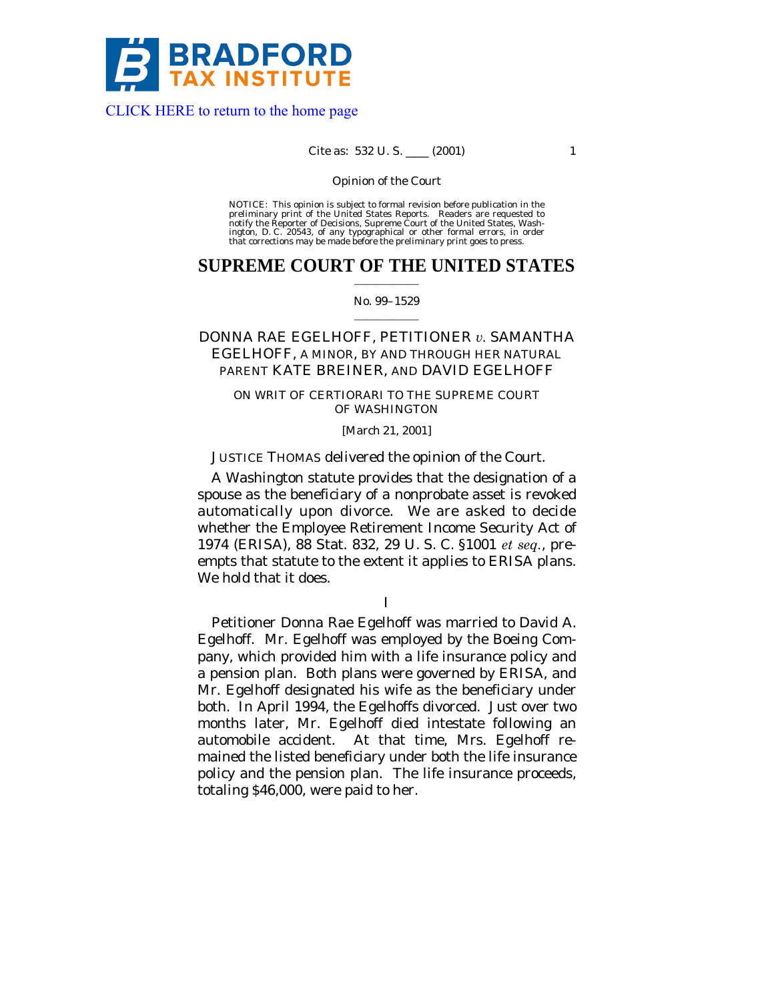

# [CLICK HERE to return to the home page](www.bradfordtaxinstitute.com)

Cite as: 532 U.S. \_\_\_\_ (2001) 1

Opinion of the Court

NOTICE: This opinion is subject to formal revision before publication in the preliminary print of the United States Reports. Readers are requested to notify the Reporter of Decisions, Supreme Court of the United States, Wa

### **SUPREME COURT OF THE UNITED STATES**  $\mathcal{L}$  and  $\mathcal{L}$  are the set of the set of the set of the set of the set of the set of the set of the set of the set of the set of the set of the set of the set of the set of the set of the set of the set of the set

### No. 99–1529  $\overline{\phantom{a}}$  , where the contract of the contract of  $\overline{\phantom{a}}$

# DONNA RAE EGELHOFF, PETITIONER *v.* SAMANTHA EGELHOFF, A MINOR, BY AND THROUGH HER NATURAL PARENT KATE BREINER, AND DAVID EGELHOFF

### ON WRIT OF CERTIORARI TO THE SUPREME COURT OF WASHINGTON

## [March 21, 2001]

JUSTICE THOMAS delivered the opinion of the Court.

A Washington statute provides that the designation of a spouse as the beneficiary of a nonprobate asset is revoked automatically upon divorce. We are asked to decide whether the Employee Retirement Income Security Act of 1974 (ERISA), 88 Stat. 832, 29 U. S. C. §1001 *et seq.*, preempts that statute to the extent it applies to ERISA plans. We hold that it does.

I

Petitioner Donna Rae Egelhoff was married to David A. Egelhoff. Mr. Egelhoff was employed by the Boeing Company, which provided him with a life insurance policy and a pension plan. Both plans were governed by ERISA, and Mr. Egelhoff designated his wife as the beneficiary under both. In April 1994, the Egelhoffs divorced. Just over two months later, Mr. Egelhoff died intestate following an automobile accident. At that time, Mrs. Egelhoff remained the listed beneficiary under both the life insurance policy and the pension plan. The life insurance proceeds, totaling \$46,000, were paid to her.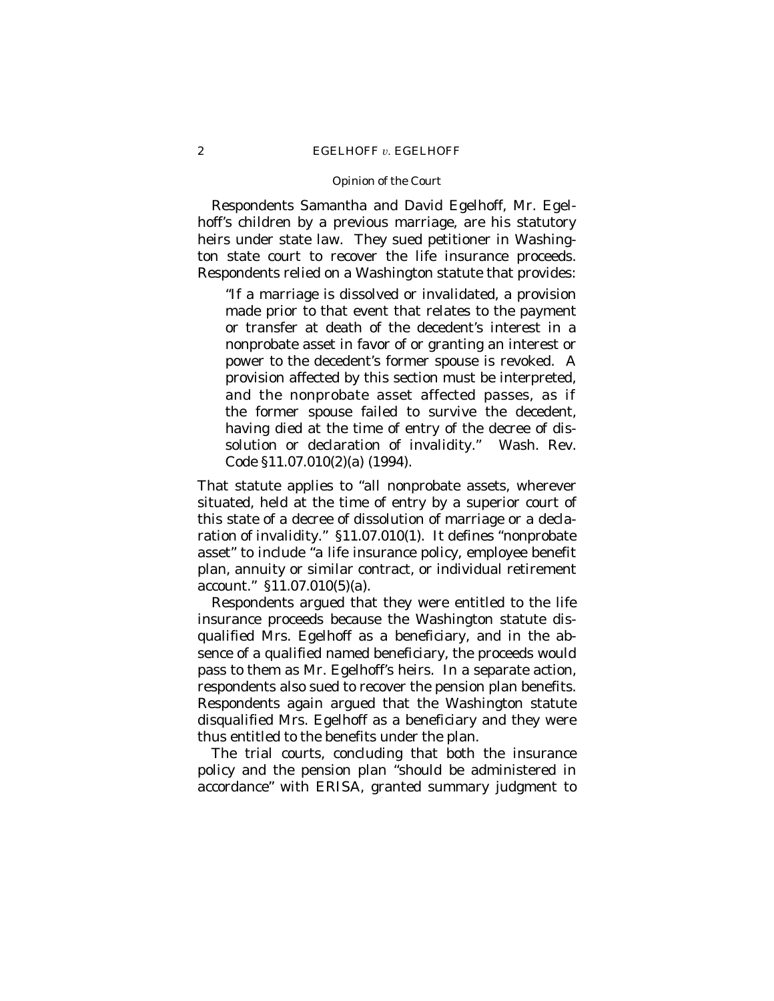### 2 EGELHOFF *v.* EGELHOFF

### Opinion of the Court

Respondents Samantha and David Egelhoff, Mr. Egelhoff's children by a previous marriage, are his statutory heirs under state law. They sued petitioner in Washington state court to recover the life insurance proceeds. Respondents relied on a Washington statute that provides:

"If a marriage is dissolved or invalidated, a provision made prior to that event that relates to the payment or transfer at death of the decedent's interest in a nonprobate asset in favor of or granting an interest or power to the decedent's former spouse is revoked. A provision affected by this section must be interpreted, and the nonprobate asset affected passes, as if the former spouse failed to survive the decedent, having died at the time of entry of the decree of dissolution or declaration of invalidity." Wash. Rev. Code §11.07.010(2)(a) (1994).

That statute applies to "all nonprobate assets, wherever situated, held at the time of entry by a superior court of this state of a decree of dissolution of marriage or a declaration of invalidity." §11.07.010(1). It defines "nonprobate asset" to include "a life insurance policy, employee benefit plan, annuity or similar contract, or individual retirement account." §11.07.010(5)(a).

Respondents argued that they were entitled to the life insurance proceeds because the Washington statute disqualified Mrs. Egelhoff as a beneficiary, and in the absence of a qualified named beneficiary, the proceeds would pass to them as Mr. Egelhoff's heirs. In a separate action, respondents also sued to recover the pension plan benefits. Respondents again argued that the Washington statute disqualified Mrs. Egelhoff as a beneficiary and they were thus entitled to the benefits under the plan.

The trial courts, concluding that both the insurance policy and the pension plan "should be administered in accordance" with ERISA, granted summary judgment to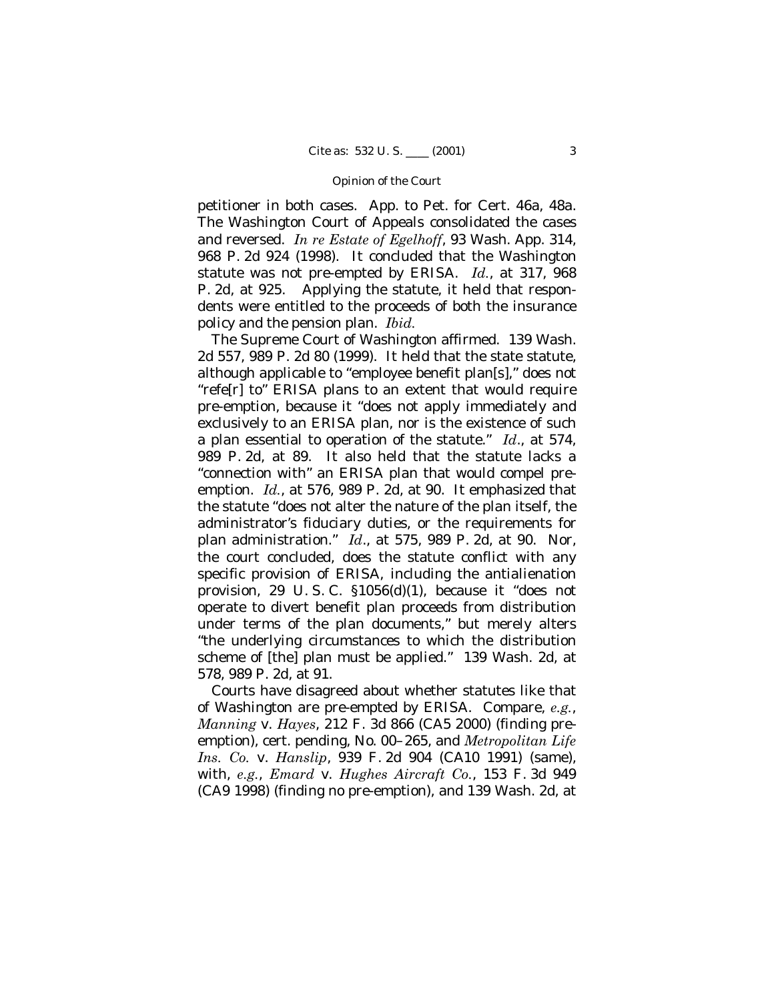petitioner in both cases. App. to Pet. for Cert. 46a, 48a. The Washington Court of Appeals consolidated the cases and reversed. *In re Estate of Egelhoff*, 93 Wash. App. 314, 968 P. 2d 924 (1998). It concluded that the Washington statute was not pre-empted by ERISA. *Id.*, at 317, 968 P. 2d, at 925. Applying the statute, it held that respondents were entitled to the proceeds of both the insurance policy and the pension plan. *Ibid.*

The Supreme Court of Washington affirmed. 139 Wash. 2d 557, 989 P. 2d 80 (1999). It held that the state statute, although applicable to "employee benefit plan[s]," does not "refe[r] to" ERISA plans to an extent that would require pre-emption, because it "does not apply immediately and exclusively to an ERISA plan, nor is the existence of such a plan essential to operation of the statute." *Id*., at 574, 989 P. 2d, at 89. It also held that the statute lacks a "connection with" an ERISA plan that would compel preemption. *Id.*, at 576, 989 P. 2d, at 90. It emphasized that the statute "does not alter the nature of the plan itself, the administrator's fiduciary duties, or the requirements for plan administration." *Id*., at 575, 989 P. 2d, at 90. Nor, the court concluded, does the statute conflict with any specific provision of ERISA, including the antialienation provision, 29 U. S. C. §1056(d)(1), because it "does not operate to divert benefit plan proceeds from distribution under terms of the plan documents," but merely alters "the underlying circumstances to which the distribution scheme of [the] plan must be applied." 139 Wash. 2d, at 578, 989 P. 2d, at 91.

Courts have disagreed about whether statutes like that of Washington are pre-empted by ERISA. Compare, *e.g.*, *Manning* v. *Hayes*, 212 F. 3d 866 (CA5 2000) (finding preemption), cert. pending, No. 00–265, and *Metropolitan Life Ins. Co.* v. *Hanslip*, 939 F. 2d 904 (CA10 1991) (same), with, *e.g.*, *Emard* v. *Hughes Aircraft Co.*, 153 F. 3d 949 (CA9 1998) (finding no pre-emption), and 139 Wash. 2d, at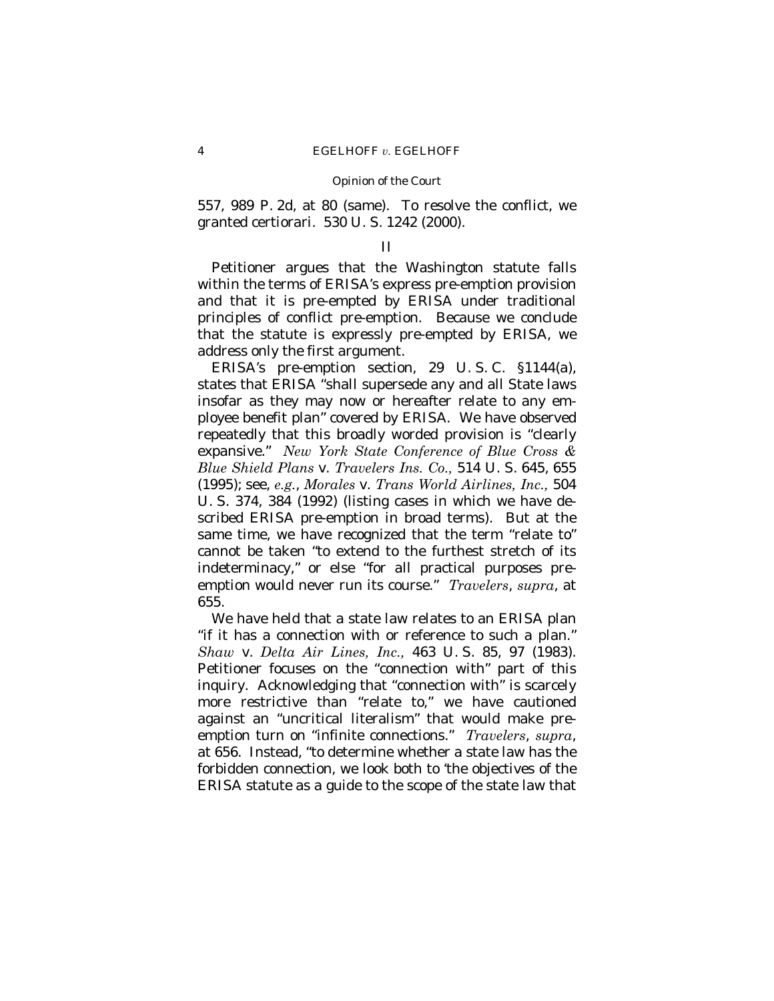557, 989 P. 2d, at 80 (same). To resolve the conflict, we granted certiorari. 530 U. S. 1242 (2000).

### II

Petitioner argues that the Washington statute falls within the terms of ERISA's express pre-emption provision and that it is pre-empted by ERISA under traditional principles of conflict pre-emption. Because we conclude that the statute is expressly pre-empted by ERISA, we address only the first argument.

ERISA's pre-emption section, 29 U. S. C. §1144(a), states that ERISA "shall supersede any and all State laws insofar as they may now or hereafter relate to any employee benefit plan" covered by ERISA. We have observed repeatedly that this broadly worded provision is "clearly expansive." *New York State Conference of Blue Cross & Blue Shield Plans* v. *Travelers Ins. Co.,* 514 U. S. 645, 655 (1995); see, *e.g.*, *Morales* v. *Trans World Airlines, Inc.,* 504 U. S. 374, 384 (1992) (listing cases in which we have described ERISA pre-emption in broad terms). But at the same time, we have recognized that the term "relate to" cannot be taken "to extend to the furthest stretch of its indeterminacy," or else "for all practical purposes preemption would never run its course." *Travelers*, *supra*, at 655.

We have held that a state law relates to an ERISA plan "if it has a connection with or reference to such a plan." *Shaw* v. *Delta Air Lines, Inc.,* 463 U. S. 85, 97 (1983). Petitioner focuses on the "connection with" part of this inquiry. Acknowledging that "connection with" is scarcely more restrictive than "relate to," we have cautioned against an "uncritical literalism" that would make preemption turn on "infinite connections." *Travelers*, *supra*, at 656. Instead, "to determine whether a state law has the forbidden connection, we look both to 'the objectives of the ERISA statute as a guide to the scope of the state law that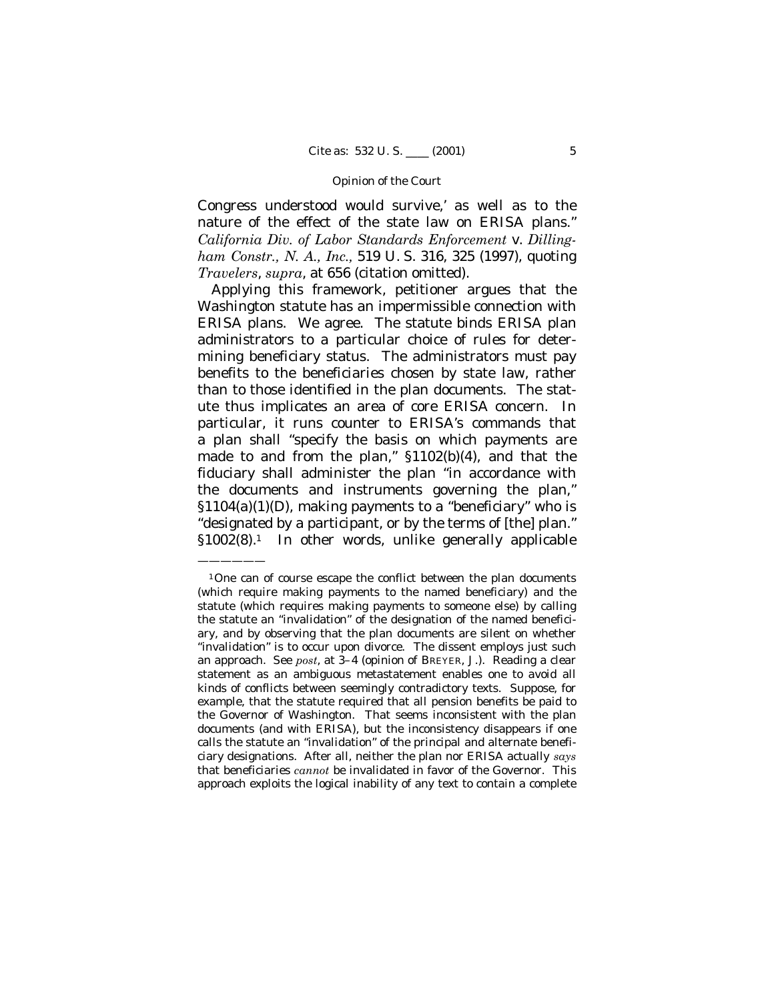Congress understood would survive,' as well as to the nature of the effect of the state law on ERISA plans." *California Div. of Labor Standards Enforcement* v. *Dillingham Constr., N. A., Inc.,* 519 U. S. 316, 325 (1997), quoting *Travelers*, *supra*, at 656 (citation omitted).

Applying this framework, petitioner argues that the Washington statute has an impermissible connection with ERISA plans. We agree. The statute binds ERISA plan administrators to a particular choice of rules for determining beneficiary status. The administrators must pay benefits to the beneficiaries chosen by state law, rather than to those identified in the plan documents. The statute thus implicates an area of core ERISA concern. In particular, it runs counter to ERISA's commands that a plan shall "specify the basis on which payments are made to and from the plan," §1102(b)(4), and that the fiduciary shall administer the plan "in accordance with the documents and instruments governing the plan," §1104(a)(1)(D), making payments to a "beneficiary" who is "designated by a participant, or by the terms of [the] plan." §1002(8).<sup>1</sup> In other words, unlike generally applicable

<sup>&</sup>lt;sup>1</sup>One can of course escape the conflict between the plan documents (which require making payments to the named beneficiary) and the statute (which requires making payments to someone else) by calling the statute an "invalidation" of the designation of the named beneficiary, and by observing that the plan documents are silent on whether "invalidation" is to occur upon divorce. The dissent employs just such an approach. See *post*, at 3–4 (opinion of BREYER, J.). Reading a clear statement as an ambiguous metastatement enables one to avoid all kinds of conflicts between seemingly contradictory texts. Suppose, for example, that the statute required that all pension benefits be paid to the Governor of Washington. That seems inconsistent with the plan documents (and with ERISA), but the inconsistency disappears if one calls the statute an "invalidation" of the principal and alternate beneficiary designations. After all, neither the plan nor ERISA actually *says* that beneficiaries *cannot* be invalidated in favor of the Governor. This approach exploits the logical inability of any text to contain a complete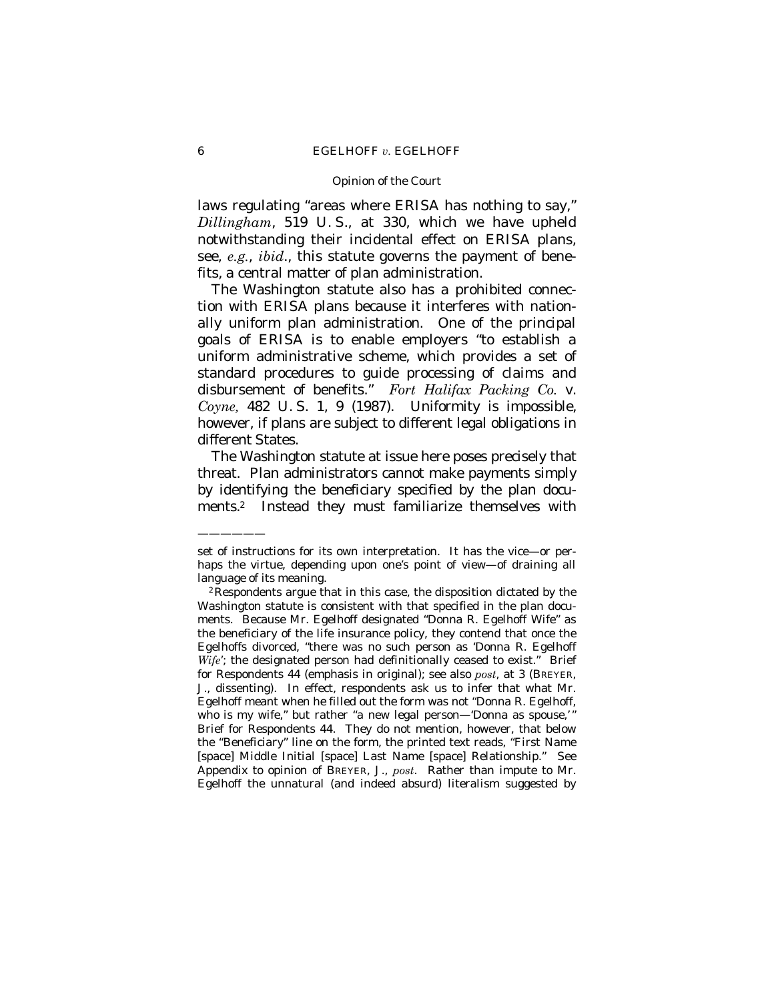### 6 EGELHOFF *v.* EGELHOFF

### Opinion of the Court

laws regulating "areas where ERISA has nothing to say," *Dillingham*, 519 U. S., at 330, which we have upheld notwithstanding their incidental effect on ERISA plans, see, *e.g.*, *ibid*., this statute governs the payment of benefits, a central matter of plan administration.

The Washington statute also has a prohibited connection with ERISA plans because it interferes with nationally uniform plan administration. One of the principal goals of ERISA is to enable employers "to establish a uniform administrative scheme, which provides a set of standard procedures to guide processing of claims and disbursement of benefits." *Fort Halifax Packing Co.* v. *Coyne,* 482 U. S. 1, 9 (1987). Uniformity is impossible, however, if plans are subject to different legal obligations in different States.

The Washington statute at issue here poses precisely that threat. Plan administrators cannot make payments simply by identifying the beneficiary specified by the plan documents.<sup>2</sup> Instead they must familiarize themselves with

set of instructions for its own interpretation. It has the vice— or perhaps the virtue, depending upon one's point of view— of draining all language of its meaning.

<sup>2</sup>Respondents argue that in this case, the disposition dictated by the Washington statute is consistent with that specified in the plan documents. Because Mr. Egelhoff designated "Donna R. Egelhoff Wife" as the beneficiary of the life insurance policy, they contend that once the Egelhoffs divorced, "there was no such person as 'Donna R. Egelhoff *Wife*'; the designated person had definitionally ceased to exist." Brief for Respondents 44 (emphasis in original); see also *post*, at 3 (BREYER, J., dissenting). In effect, respondents ask us to infer that what Mr. Egelhoff meant when he filled out the form was not "Donna R. Egelhoff, who is my wife," but rather "a new legal person- 'Donna as spouse,'" Brief for Respondents 44. They do not mention, however, that below the "Beneficiary" line on the form, the printed text reads, "First Name [space] Middle Initial [space] Last Name [space] Relationship." See Appendix to opinion of BREYER, J., *post*. Rather than impute to Mr. Egelhoff the unnatural (and indeed absurd) literalism suggested by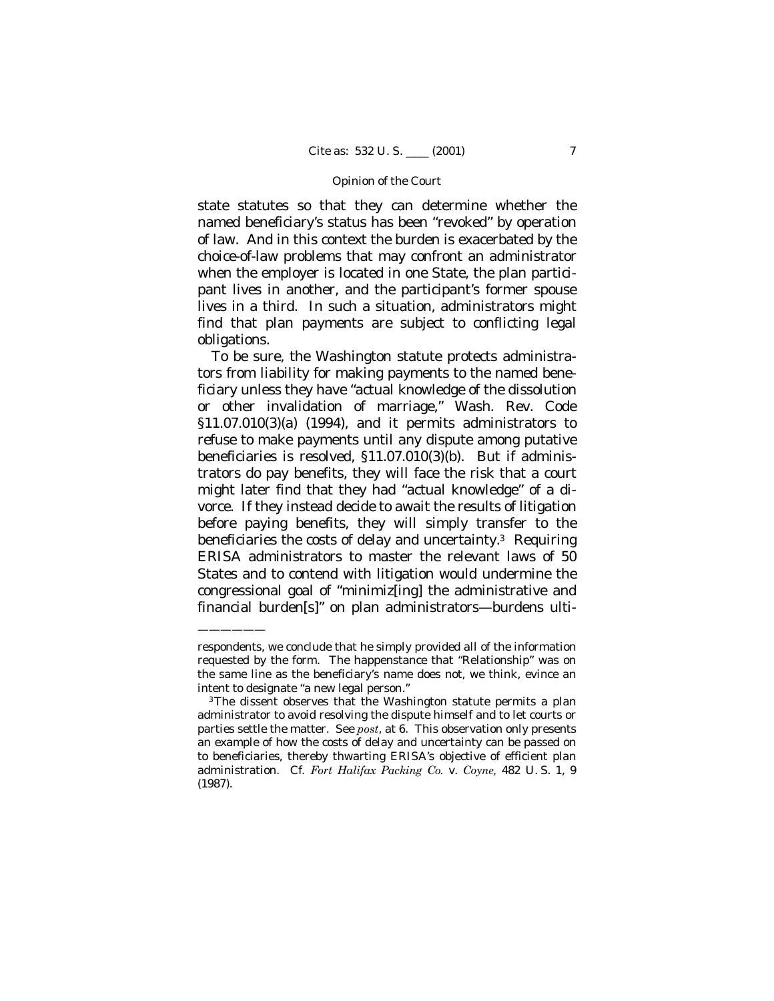state statutes so that they can determine whether the named beneficiary's status has been "revoked" by operation of law. And in this context the burden is exacerbated by the choice-of-law problems that may confront an administrator when the employer is located in one State, the plan participant lives in another, and the participant's former spouse lives in a third. In such a situation, administrators might find that plan payments are subject to conflicting legal obligations.

To be sure, the Washington statute protects administrators from liability for making payments to the named beneficiary unless they have "actual knowledge of the dissolution or other invalidation of marriage," Wash. Rev. Code  $$11.07.010(3)(a)$  (1994), and it permits administrators to refuse to make payments until any dispute among putative beneficiaries is resolved, §11.07.010(3)(b). But if administrators do pay benefits, they will face the risk that a court might later find that they had "actual knowledge" of a divorce. If they instead decide to await the results of litigation before paying benefits, they will simply transfer to the beneficiaries the costs of delay and uncertainty.<sup>3</sup> Requiring ERISA administrators to master the relevant laws of 50 States and to contend with litigation would undermine the congressional goal of "minimiz[ing] the administrative and financial burden[s]" on plan administrators— burdens ulti-

respondents, we conclude that he simply provided all of the information requested by the form. The happenstance that "Relationship" was on the same line as the beneficiary's name does not, we think, evince an intent to designate "a new legal person."

<sup>&</sup>lt;sup>3</sup>The dissent observes that the Washington statute permits a plan administrator to avoid resolving the dispute himself and to let courts or parties settle the matter. See *post*, at 6. This observation only presents an example of how the costs of delay and uncertainty can be passed on to beneficiaries, thereby thwarting ERISA's objective of efficient plan administration. Cf*. Fort Halifax Packing Co.* v. *Coyne,* 482 U. S. 1, 9 (1987).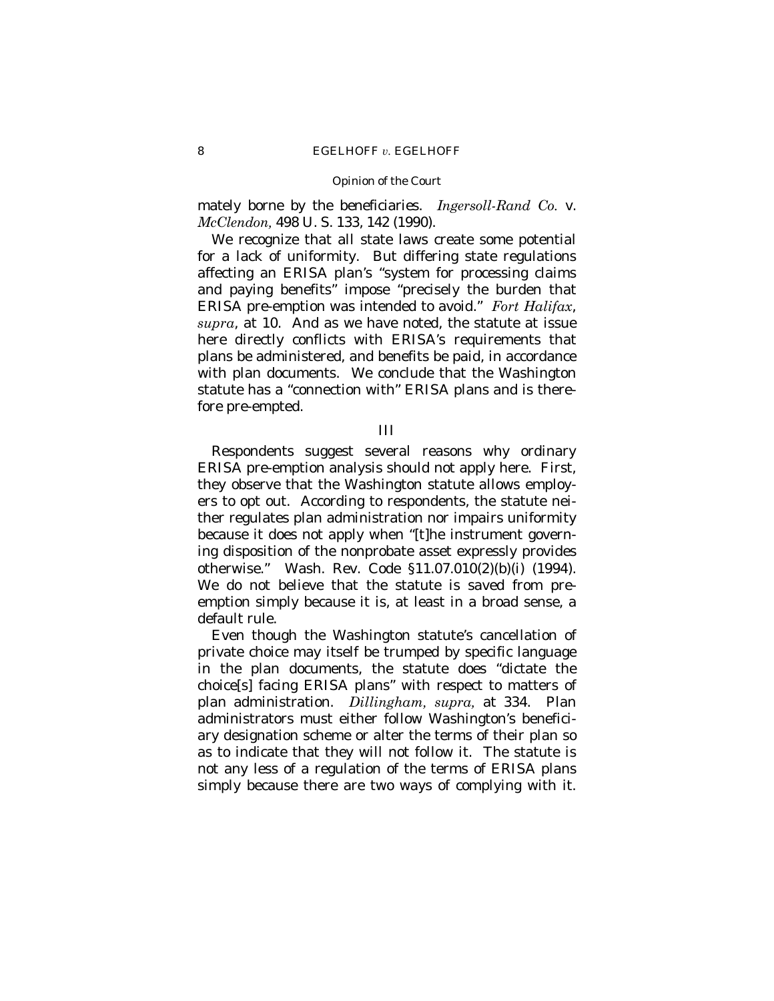mately borne by the beneficiaries. *Ingersoll-Rand Co.* v. *McClendon,* 498 U. S. 133, 142 (1990).

We recognize that all state laws create some potential for a lack of uniformity. But differing state regulations affecting an ERISA plan's "system for processing claims and paying benefits" impose "precisely the burden that ERISA pre-emption was intended to avoid." *Fort Halifax*, *supra*, at 10. And as we have noted, the statute at issue here directly conflicts with ERISA's requirements that plans be administered, and benefits be paid, in accordance with plan documents. We conclude that the Washington statute has a "connection with" ERISA plans and is therefore pre-empted.

III

Respondents suggest several reasons why ordinary ERISA pre-emption analysis should not apply here. First, they observe that the Washington statute allows employers to opt out. According to respondents, the statute neither regulates plan administration nor impairs uniformity because it does not apply when "[t]he instrument governing disposition of the nonprobate asset expressly provides otherwise." Wash. Rev. Code §11.07.010(2)(b)(i) (1994). We do not believe that the statute is saved from preemption simply because it is, at least in a broad sense, a default rule.

Even though the Washington statute's cancellation of private choice may itself be trumped by specific language in the plan documents, the statute does "dictate the choice[s] facing ERISA plans" with respect to matters of plan administration. *Dillingham, supra,* at 334. Plan administrators must either follow Washington's beneficiary designation scheme or alter the terms of their plan so as to indicate that they will not follow it. The statute is not any less of a regulation of the terms of ERISA plans simply because there are two ways of complying with it.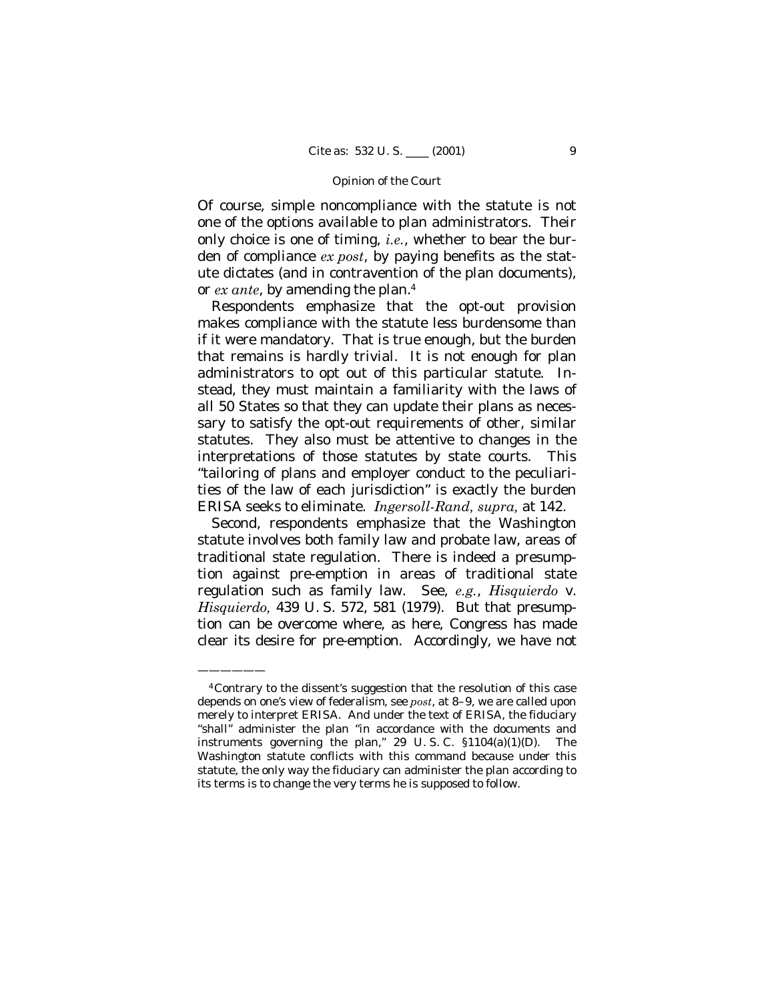Of course, simple noncompliance with the statute is not one of the options available to plan administrators. Their only choice is one of timing, *i.e.*, whether to bear the burden of compliance *ex post*, by paying benefits as the statute dictates (and in contravention of the plan documents), or *ex ante*, by amending the plan.<sup>4</sup>

Respondents emphasize that the opt-out provision makes compliance with the statute less burdensome than if it were mandatory. That is true enough, but the burden that remains is hardly trivial. It is not enough for plan administrators to opt out of this particular statute. Instead, they must maintain a familiarity with the laws of all 50 States so that they can update their plans as necessary to satisfy the opt-out requirements of other, similar statutes. They also must be attentive to changes in the interpretations of those statutes by state courts. This "tailoring of plans and employer conduct to the peculiarities of the law of each jurisdiction" is exactly the burden ERISA seeks to eliminate. *Ingersoll-Rand, supra,* at 142.

Second, respondents emphasize that the Washington statute involves both family law and probate law, areas of traditional state regulation. There is indeed a presumption against pre-emption in areas of traditional state regulation such as family law. See, *e.g.*, *Hisquierdo* v. *Hisquierdo,* 439 U. S. 572, 581 (1979). But that presumption can be overcome where, as here, Congress has made clear its desire for pre-emption. Accordingly, we have not

<sup>4</sup>Contrary to the dissent's suggestion that the resolution of this case depends on one's view of federalism, see *post*, at 8–9, we are called upon merely to interpret ERISA. And under the text of ERISA, the fiduciary "shall" administer the plan "in accordance with the documents and instruments governing the plan," 29 U. S. C. §1104(a)(1)(D). The Washington statute conflicts with this command because under this statute, the only way the fiduciary can administer the plan according to its terms is to change the very terms he is supposed to follow.